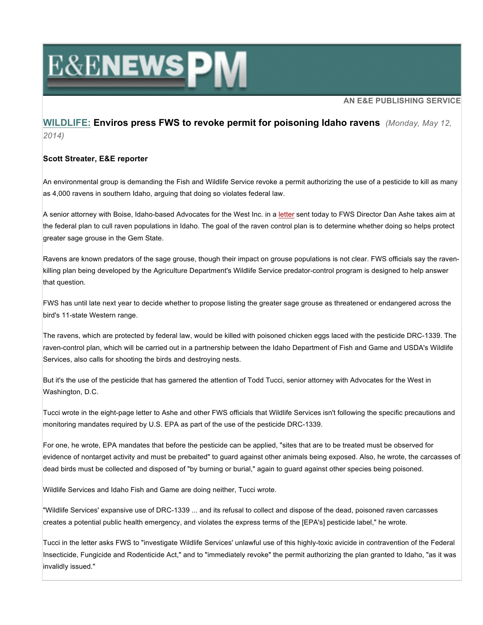# **E&ENEWSPM**

### **AN E&E PUBLISHING SERVICE**

## **WILDLIFE: Enviros press FWS to revoke permit for poisoning Idaho ravens** *(Monday, May 12, 2014)*

### **Scott Streater, E&E reporter**

An environmental group is demanding the Fish and Wildlife Service revoke a permit authorizing the use of a pesticide to kill as many as 4,000 ravens in southern Idaho, arguing that doing so violates federal law.

A senior attorney with Boise, Idaho-based Advocates for the West Inc. in a letter sent today to FWS Director Dan Ashe takes aim at the federal plan to cull raven populations in Idaho. The goal of the raven control plan is to determine whether doing so helps protect greater sage grouse in the Gem State.

Ravens are known predators of the sage grouse, though their impact on grouse populations is not clear. FWS officials say the ravenkilling plan being developed by the Agriculture Department's Wildlife Service predator-control program is designed to help answer that question.

FWS has until late next year to decide whether to propose listing the greater sage grouse as threatened or endangered across the bird's 11-state Western range.

The ravens, which are protected by federal law, would be killed with poisoned chicken eggs laced with the pesticide DRC-1339. The raven-control plan, which will be carried out in a partnership between the Idaho Department of Fish and Game and USDA's Wildlife Services, also calls for shooting the birds and destroying nests.

But it's the use of the pesticide that has garnered the attention of Todd Tucci, senior attorney with Advocates for the West in Washington, D.C.

Tucci wrote in the eight-page letter to Ashe and other FWS officials that Wildlife Services isn't following the specific precautions and monitoring mandates required by U.S. EPA as part of the use of the pesticide DRC-1339.

For one, he wrote, EPA mandates that before the pesticide can be applied, "sites that are to be treated must be observed for evidence of nontarget activity and must be prebaited" to guard against other animals being exposed. Also, he wrote, the carcasses of dead birds must be collected and disposed of "by burning or burial," again to guard against other species being poisoned.

Wildlife Services and Idaho Fish and Game are doing neither, Tucci wrote.

"Wildlife Services' expansive use of DRC-1339 ... and its refusal to collect and dispose of the dead, poisoned raven carcasses creates a potential public health emergency, and violates the express terms of the [EPA's] pesticide label," he wrote.

Tucci in the letter asks FWS to "investigate Wildlife Services' unlawful use of this highly-toxic avicide in contravention of the Federal Insecticide, Fungicide and Rodenticide Act," and to "immediately revoke" the permit authorizing the plan granted to Idaho, "as it was invalidly issued."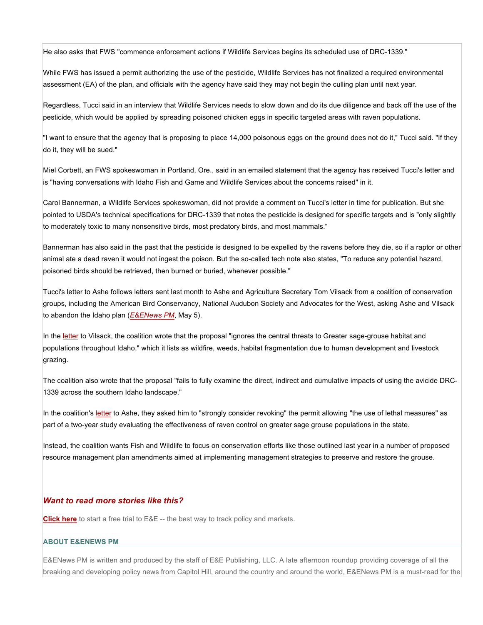He also asks that FWS "commence enforcement actions if Wildlife Services begins its scheduled use of DRC-1339."

While FWS has issued a permit authorizing the use of the pesticide, Wildlife Services has not finalized a required environmental assessment (EA) of the plan, and officials with the agency have said they may not begin the culling plan until next year.

Regardless, Tucci said in an interview that Wildlife Services needs to slow down and do its due diligence and back off the use of the pesticide, which would be applied by spreading poisoned chicken eggs in specific targeted areas with raven populations.

"I want to ensure that the agency that is proposing to place 14,000 poisonous eggs on the ground does not do it," Tucci said. "If they do it, they will be sued."

Miel Corbett, an FWS spokeswoman in Portland, Ore., said in an emailed statement that the agency has received Tucci's letter and is "having conversations with Idaho Fish and Game and Wildlife Services about the concerns raised" in it.

Carol Bannerman, a Wildlife Services spokeswoman, did not provide a comment on Tucci's letter in time for publication. But she pointed to USDA's technical specifications for DRC-1339 that notes the pesticide is designed for specific targets and is "only slightly to moderately toxic to many nonsensitive birds, most predatory birds, and most mammals."

Bannerman has also said in the past that the pesticide is designed to be expelled by the ravens before they die, so if a raptor or other animal ate a dead raven it would not ingest the poison. But the so-called tech note also states, "To reduce any potential hazard, poisoned birds should be retrieved, then burned or buried, whenever possible."

Tucci's letter to Ashe follows letters sent last month to Ashe and Agriculture Secretary Tom Vilsack from a coalition of conservation groups, including the American Bird Conservancy, National Audubon Society and Advocates for the West, asking Ashe and Vilsack to abandon the Idaho plan (*E&ENews PM*, May 5).

In the letter to Vilsack, the coalition wrote that the proposal "ignores the central threats to Greater sage-grouse habitat and populations throughout Idaho," which it lists as wildfire, weeds, habitat fragmentation due to human development and livestock grazing.

The coalition also wrote that the proposal "fails to fully examine the direct, indirect and cumulative impacts of using the avicide DRC-1339 across the southern Idaho landscape."

In the coalition's letter to Ashe, they asked him to "strongly consider revoking" the permit allowing "the use of lethal measures" as part of a two-year study evaluating the effectiveness of raven control on greater sage grouse populations in the state.

Instead, the coalition wants Fish and Wildlife to focus on conservation efforts like those outlined last year in a number of proposed resource management plan amendments aimed at implementing management strategies to preserve and restore the grouse.

#### *Want to read more stories like this?*

**Click here** to start a free trial to E&E -- the best way to track policy and markets.

#### **ABOUT E&ENEWS PM**

E&ENews PM is written and produced by the staff of E&E Publishing, LLC. A late afternoon roundup providing coverage of all the breaking and developing policy news from Capitol Hill, around the country and around the world, E&ENews PM is a must-read for the